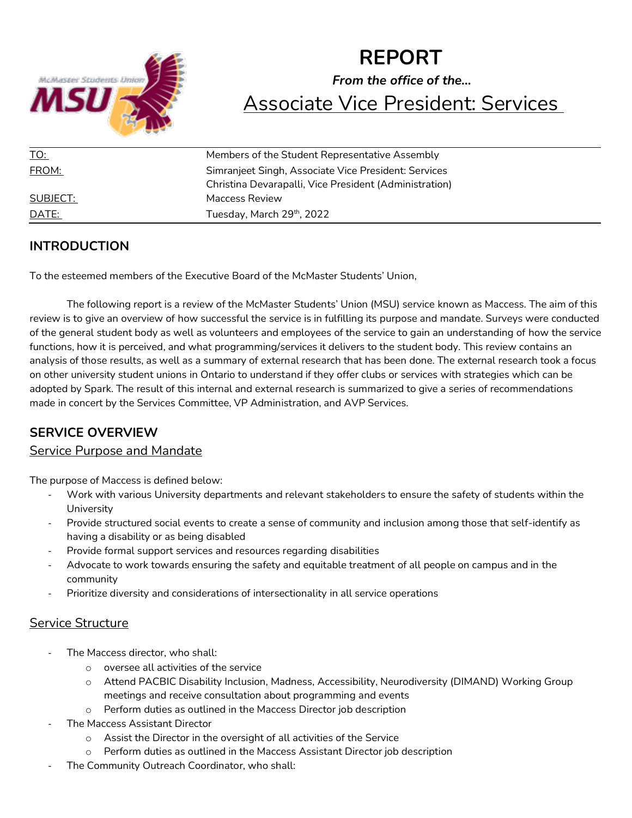

# **REPORT** *From the office of the…* Associate Vice President: Services

| <u>TO:</u>   | Members of the Student Representative Assembly         |
|--------------|--------------------------------------------------------|
| FROM:        | Simranjeet Singh, Associate Vice President: Services   |
|              | Christina Devarapalli, Vice President (Administration) |
| SUBJECT:     | Maccess Review                                         |
| <u>DATE:</u> | Tuesday, March 29th, 2022                              |

# **INTRODUCTION**

To the esteemed members of the Executive Board of the McMaster Students' Union,

The following report is a review of the McMaster Students' Union (MSU) service known as Maccess. The aim of this review is to give an overview of how successful the service is in fulfilling its purpose and mandate. Surveys were conducted of the general student body as well as volunteers and employees of the service to gain an understanding of how the service functions, how it is perceived, and what programming/services it delivers to the student body. This review contains an analysis of those results, as well as a summary of external research that has been done. The external research took a focus on other university student unions in Ontario to understand if they offer clubs or services with strategies which can be adopted by Spark. The result of this internal and external research is summarized to give a series of recommendations made in concert by the Services Committee, VP Administration, and AVP Services.

# **SERVICE OVERVIEW**

## Service Purpose and Mandate

The purpose of Maccess is defined below:

- Work with various University departments and relevant stakeholders to ensure the safety of students within the **University**
- Provide structured social events to create a sense of community and inclusion among those that self-identify as having a disability or as being disabled
- Provide formal support services and resources regarding disabilities
- Advocate to work towards ensuring the safety and equitable treatment of all people on campus and in the community
- Prioritize diversity and considerations of intersectionality in all service operations

## Service Structure

- The Maccess director, who shall:
	- o oversee all activities of the service
	- o Attend PACBIC Disability Inclusion, Madness, Accessibility, Neurodiversity (DIMAND) Working Group meetings and receive consultation about programming and events
	- o Perform duties as outlined in the Maccess Director job description
- The Maccess Assistant Director
	- o Assist the Director in the oversight of all activities of the Service
	- o Perform duties as outlined in the Maccess Assistant Director job description
- The Community Outreach Coordinator, who shall: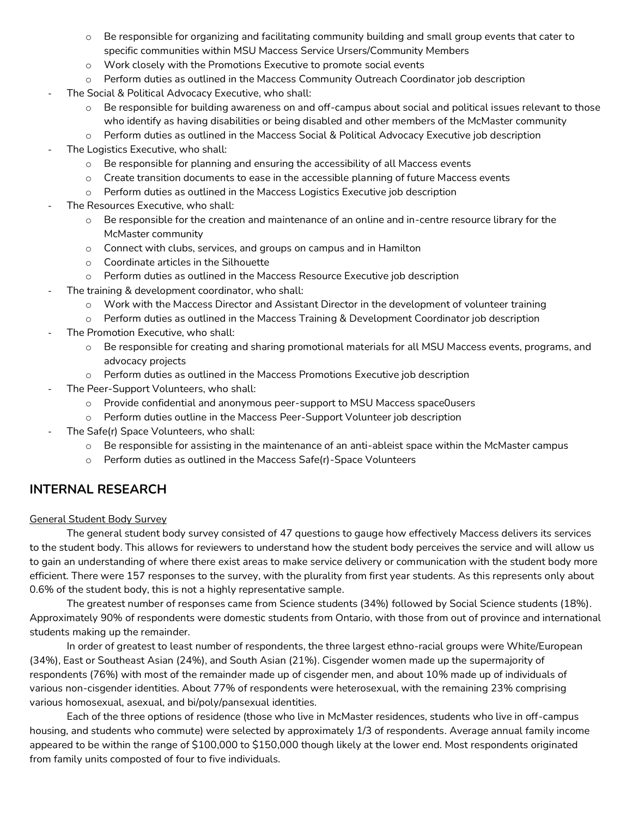- $\circ$  Be responsible for organizing and facilitating community building and small group events that cater to specific communities within MSU Maccess Service Ursers/Community Members
- o Work closely with the Promotions Executive to promote social events
- o Perform duties as outlined in the Maccess Community Outreach Coordinator job description
- The Social & Political Advocacy Executive, who shall:
	- o Be responsible for building awareness on and off-campus about social and political issues relevant to those who identify as having disabilities or being disabled and other members of the McMaster community
	- o Perform duties as outlined in the Maccess Social & Political Advocacy Executive job description
- The Logistics Executive, who shall:
	- o Be responsible for planning and ensuring the accessibility of all Maccess events
	- o Create transition documents to ease in the accessible planning of future Maccess events
	- o Perform duties as outlined in the Maccess Logistics Executive job description
- The Resources Executive, who shall:
	- $\circ$  Be responsible for the creation and maintenance of an online and in-centre resource library for the McMaster community
	- o Connect with clubs, services, and groups on campus and in Hamilton
	- o Coordinate articles in the Silhouette
	- o Perform duties as outlined in the Maccess Resource Executive job description
- The training & development coordinator, who shall:
	- o Work with the Maccess Director and Assistant Director in the development of volunteer training
	- o Perform duties as outlined in the Maccess Training & Development Coordinator job description
- The Promotion Executive, who shall:
	- o Be responsible for creating and sharing promotional materials for all MSU Maccess events, programs, and advocacy projects
	- o Perform duties as outlined in the Maccess Promotions Executive job description
- The Peer-Support Volunteers, who shall:
	- o Provide confidential and anonymous peer-support to MSU Maccess space0users
	- o Perform duties outline in the Maccess Peer-Support Volunteer job description
- The Safe(r) Space Volunteers, who shall:
	- o Be responsible for assisting in the maintenance of an anti-ableist space within the McMaster campus
	- o Perform duties as outlined in the Maccess Safe(r)-Space Volunteers

# **INTERNAL RESEARCH**

#### General Student Body Survey

The general student body survey consisted of 47 questions to gauge how effectively Maccess delivers its services to the student body. This allows for reviewers to understand how the student body perceives the service and will allow us to gain an understanding of where there exist areas to make service delivery or communication with the student body more efficient. There were 157 responses to the survey, with the plurality from first year students. As this represents only about 0.6% of the student body, this is not a highly representative sample.

The greatest number of responses came from Science students (34%) followed by Social Science students (18%). Approximately 90% of respondents were domestic students from Ontario, with those from out of province and international students making up the remainder.

In order of greatest to least number of respondents, the three largest ethno-racial groups were White/European (34%), East or Southeast Asian (24%), and South Asian (21%). Cisgender women made up the supermajority of respondents (76%) with most of the remainder made up of cisgender men, and about 10% made up of individuals of various non-cisgender identities. About 77% of respondents were heterosexual, with the remaining 23% comprising various homosexual, asexual, and bi/poly/pansexual identities.

Each of the three options of residence (those who live in McMaster residences, students who live in off-campus housing, and students who commute) were selected by approximately 1/3 of respondents. Average annual family income appeared to be within the range of \$100,000 to \$150,000 though likely at the lower end. Most respondents originated from family units composted of four to five individuals.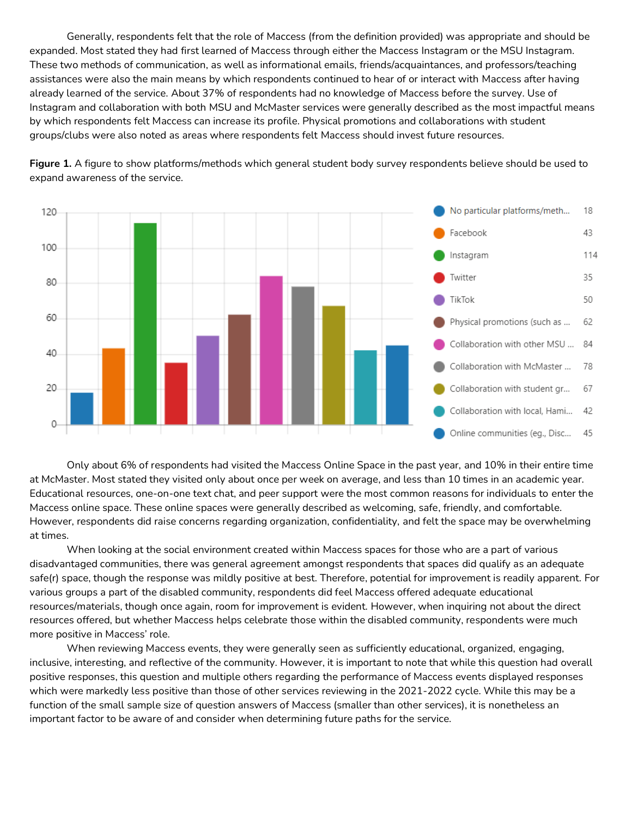Generally, respondents felt that the role of Maccess (from the definition provided) was appropriate and should be expanded. Most stated they had first learned of Maccess through either the Maccess Instagram or the MSU Instagram. These two methods of communication, as well as informational emails, friends/acquaintances, and professors/teaching assistances were also the main means by which respondents continued to hear of or interact with Maccess after having already learned of the service. About 37% of respondents had no knowledge of Maccess before the survey. Use of Instagram and collaboration with both MSU and McMaster services were generally described as the most impactful means by which respondents felt Maccess can increase its profile. Physical promotions and collaborations with student groups/clubs were also noted as areas where respondents felt Maccess should invest future resources.



**Figure 1.** A figure to show platforms/methods which general student body survey respondents believe should be used to expand awareness of the service.

Only about 6% of respondents had visited the Maccess Online Space in the past year, and 10% in their entire time at McMaster. Most stated they visited only about once per week on average, and less than 10 times in an academic year. Educational resources, one-on-one text chat, and peer support were the most common reasons for individuals to enter the Maccess online space. These online spaces were generally described as welcoming, safe, friendly, and comfortable. However, respondents did raise concerns regarding organization, confidentiality, and felt the space may be overwhelming at times.

When looking at the social environment created within Maccess spaces for those who are a part of various disadvantaged communities, there was general agreement amongst respondents that spaces did qualify as an adequate safe(r) space, though the response was mildly positive at best. Therefore, potential for improvement is readily apparent. For various groups a part of the disabled community, respondents did feel Maccess offered adequate educational resources/materials, though once again, room for improvement is evident. However, when inquiring not about the direct resources offered, but whether Maccess helps celebrate those within the disabled community, respondents were much more positive in Maccess' role.

When reviewing Maccess events, they were generally seen as sufficiently educational, organized, engaging, inclusive, interesting, and reflective of the community. However, it is important to note that while this question had overall positive responses, this question and multiple others regarding the performance of Maccess events displayed responses which were markedly less positive than those of other services reviewing in the 2021-2022 cycle. While this may be a function of the small sample size of question answers of Maccess (smaller than other services), it is nonetheless an important factor to be aware of and consider when determining future paths for the service.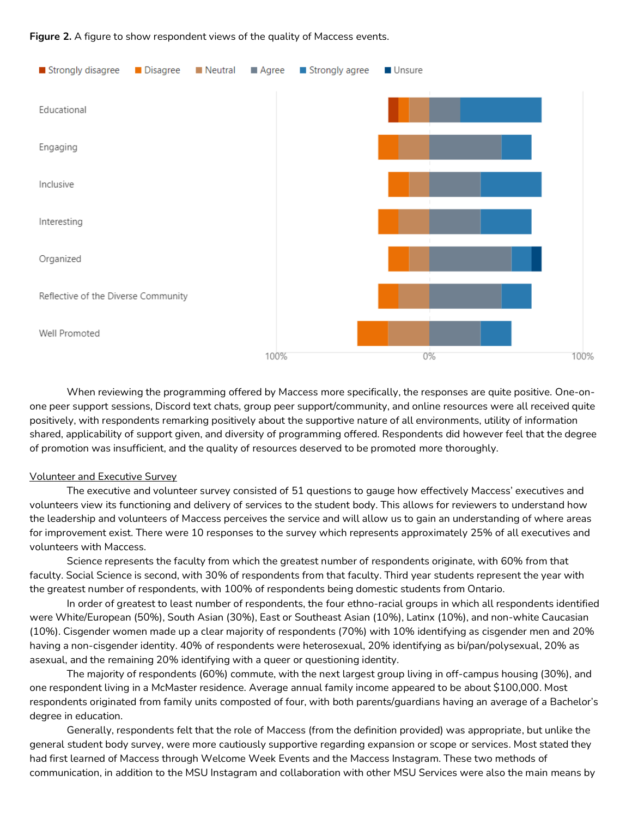**Figure 2.** A figure to show respondent views of the quality of Maccess events.



When reviewing the programming offered by Maccess more specifically, the responses are quite positive. One-onone peer support sessions, Discord text chats, group peer support/community, and online resources were all received quite positively, with respondents remarking positively about the supportive nature of all environments, utility of information shared, applicability of support given, and diversity of programming offered. Respondents did however feel that the degree of promotion was insufficient, and the quality of resources deserved to be promoted more thoroughly.

#### Volunteer and Executive Survey

The executive and volunteer survey consisted of 51 questions to gauge how effectively Maccess' executives and volunteers view its functioning and delivery of services to the student body. This allows for reviewers to understand how the leadership and volunteers of Maccess perceives the service and will allow us to gain an understanding of where areas for improvement exist. There were 10 responses to the survey which represents approximately 25% of all executives and volunteers with Maccess.

Science represents the faculty from which the greatest number of respondents originate, with 60% from that faculty. Social Science is second, with 30% of respondents from that faculty. Third year students represent the year with the greatest number of respondents, with 100% of respondents being domestic students from Ontario.

In order of greatest to least number of respondents, the four ethno-racial groups in which all respondents identified were White/European (50%), South Asian (30%), East or Southeast Asian (10%), Latinx (10%), and non-white Caucasian (10%). Cisgender women made up a clear majority of respondents (70%) with 10% identifying as cisgender men and 20% having a non-cisgender identity. 40% of respondents were heterosexual, 20% identifying as bi/pan/polysexual, 20% as asexual, and the remaining 20% identifying with a queer or questioning identity.

The majority of respondents (60%) commute, with the next largest group living in off-campus housing (30%), and one respondent living in a McMaster residence. Average annual family income appeared to be about \$100,000. Most respondents originated from family units composted of four, with both parents/guardians having an average of a Bachelor's degree in education.

Generally, respondents felt that the role of Maccess (from the definition provided) was appropriate, but unlike the general student body survey, were more cautiously supportive regarding expansion or scope or services. Most stated they had first learned of Maccess through Welcome Week Events and the Maccess Instagram. These two methods of communication, in addition to the MSU Instagram and collaboration with other MSU Services were also the main means by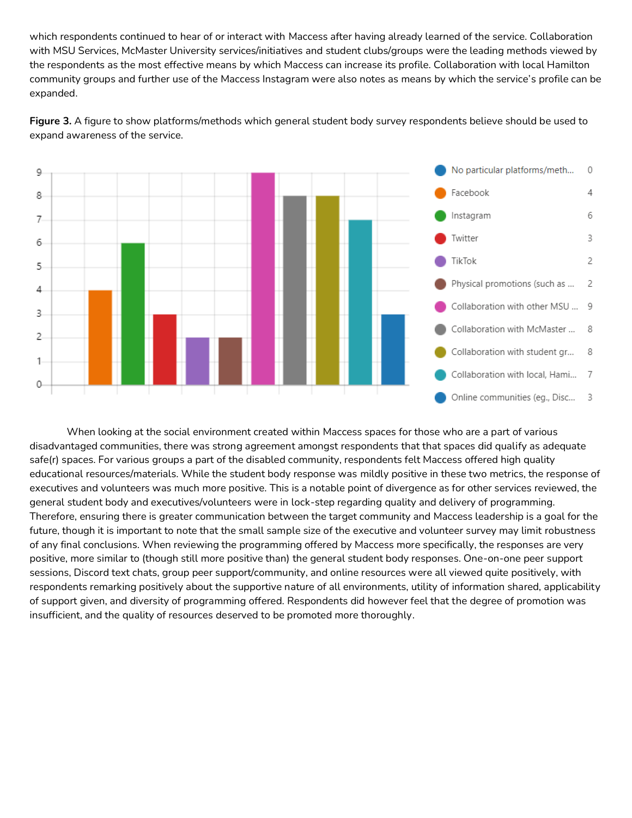which respondents continued to hear of or interact with Maccess after having already learned of the service. Collaboration with MSU Services, McMaster University services/initiatives and student clubs/groups were the leading methods viewed by the respondents as the most effective means by which Maccess can increase its profile. Collaboration with local Hamilton community groups and further use of the Maccess Instagram were also notes as means by which the service's profile can be expanded.



**Figure 3.** A figure to show platforms/methods which general student body survey respondents believe should be used to expand awareness of the service.

When looking at the social environment created within Maccess spaces for those who are a part of various disadvantaged communities, there was strong agreement amongst respondents that that spaces did qualify as adequate safe(r) spaces. For various groups a part of the disabled community, respondents felt Maccess offered high quality educational resources/materials. While the student body response was mildly positive in these two metrics, the response of executives and volunteers was much more positive. This is a notable point of divergence as for other services reviewed, the general student body and executives/volunteers were in lock-step regarding quality and delivery of programming. Therefore, ensuring there is greater communication between the target community and Maccess leadership is a goal for the future, though it is important to note that the small sample size of the executive and volunteer survey may limit robustness of any final conclusions. When reviewing the programming offered by Maccess more specifically, the responses are very positive, more similar to (though still more positive than) the general student body responses. One-on-one peer support sessions, Discord text chats, group peer support/community, and online resources were all viewed quite positively, with respondents remarking positively about the supportive nature of all environments, utility of information shared, applicability of support given, and diversity of programming offered. Respondents did however feel that the degree of promotion was insufficient, and the quality of resources deserved to be promoted more thoroughly.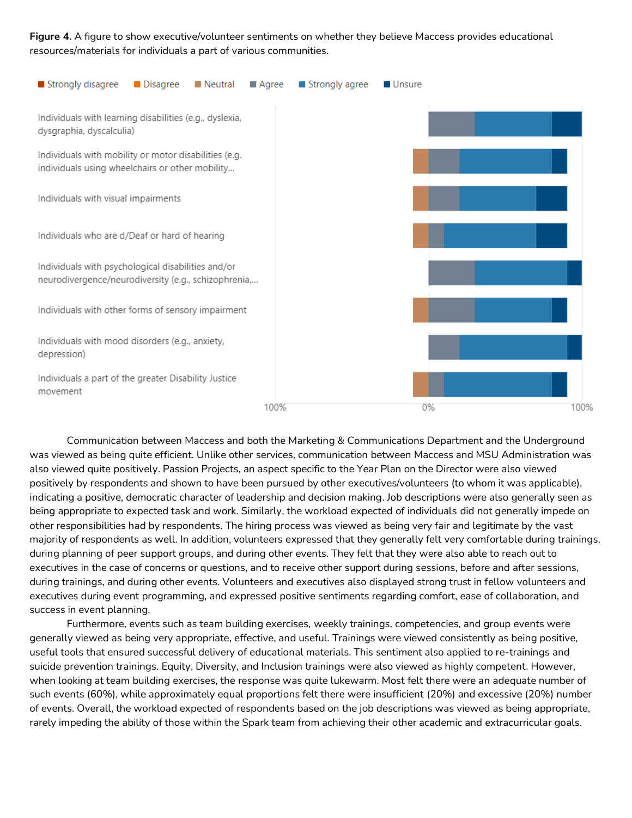**Figure 4.** A figure to show executive/volunteer sentiments on whether they believe Maccess provides educational resources/materials for individuals a part of various communities.



Communication between Maccess and both the Marketing & Communications Department and the Underground was viewed as being quite efficient. Unlike other services, communication between Maccess and MSU Administration was also viewed quite positively. Passion Projects, an aspect specific to the Year Plan on the Director were also viewed positively by respondents and shown to have been pursued by other executives/volunteers (to whom it was applicable), indicating a positive, democratic character of leadership and decision making. Job descriptions were also generally seen as being appropriate to expected task and work. Similarly, the workload expected of individuals did not generally impede on other responsibilities had by respondents. The hiring process was viewed as being very fair and legitimate by the vast majority of respondents as well. In addition, volunteers expressed that they generally felt very comfortable during trainings, during planning of peer support groups, and during other events. They felt that they were also able to reach out to executives in the case of concerns or questions, and to receive other support during sessions, before and after sessions, during trainings, and during other events. Volunteers and executives also displayed strong trust in fellow volunteers and executives during event programming, and expressed positive sentiments regarding comfort, ease of collaboration, and success in event planning.

Furthermore, events such as team building exercises, weekly trainings, competencies, and group events were generally viewed as being very appropriate, effective, and useful. Trainings were viewed consistently as being positive, useful tools that ensured successful delivery of educational materials. This sentiment also applied to re-trainings and suicide prevention trainings. Equity, Diversity, and Inclusion trainings were also viewed as highly competent. However, when looking at team building exercises, the response was quite lukewarm. Most felt there were an adequate number of such events (60%), while approximately equal proportions felt there were insufficient (20%) and excessive (20%) number of events. Overall, the workload expected of respondents based on the job descriptions was viewed as being appropriate, rarely impeding the ability of those within the Spark team from achieving their other academic and extracurricular goals.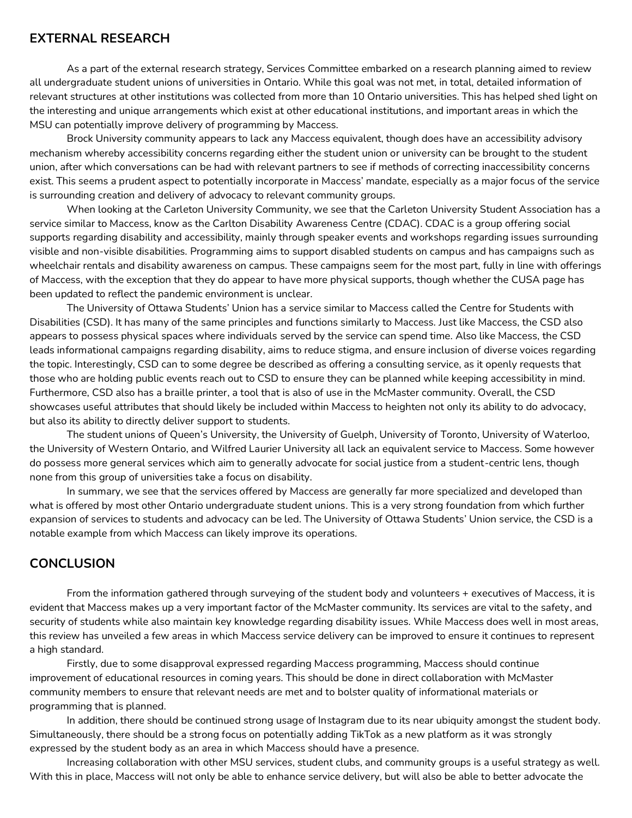#### **EXTERNAL RESEARCH**

As a part of the external research strategy, Services Committee embarked on a research planning aimed to review all undergraduate student unions of universities in Ontario. While this goal was not met, in total, detailed information of relevant structures at other institutions was collected from more than 10 Ontario universities. This has helped shed light on the interesting and unique arrangements which exist at other educational institutions, and important areas in which the MSU can potentially improve delivery of programming by Maccess.

Brock University community appears to lack any Maccess equivalent, though does have an accessibility advisory mechanism whereby accessibility concerns regarding either the student union or university can be brought to the student union, after which conversations can be had with relevant partners to see if methods of correcting inaccessibility concerns exist. This seems a prudent aspect to potentially incorporate in Maccess' mandate, especially as a major focus of the service is surrounding creation and delivery of advocacy to relevant community groups.

When looking at the Carleton University Community, we see that the Carleton University Student Association has a service similar to Maccess, know as the Carlton Disability Awareness Centre (CDAC). CDAC is a group offering social supports regarding disability and accessibility, mainly through speaker events and workshops regarding issues surrounding visible and non-visible disabilities. Programming aims to support disabled students on campus and has campaigns such as wheelchair rentals and disability awareness on campus. These campaigns seem for the most part, fully in line with offerings of Maccess, with the exception that they do appear to have more physical supports, though whether the CUSA page has been updated to reflect the pandemic environment is unclear.

The University of Ottawa Students' Union has a service similar to Maccess called the Centre for Students with Disabilities (CSD). It has many of the same principles and functions similarly to Maccess. Just like Maccess, the CSD also appears to possess physical spaces where individuals served by the service can spend time. Also like Maccess, the CSD leads informational campaigns regarding disability, aims to reduce stigma, and ensure inclusion of diverse voices regarding the topic. Interestingly, CSD can to some degree be described as offering a consulting service, as it openly requests that those who are holding public events reach out to CSD to ensure they can be planned while keeping accessibility in mind. Furthermore, CSD also has a braille printer, a tool that is also of use in the McMaster community. Overall, the CSD showcases useful attributes that should likely be included within Maccess to heighten not only its ability to do advocacy, but also its ability to directly deliver support to students.

The student unions of Queen's University, the University of Guelph, University of Toronto, University of Waterloo, the University of Western Ontario, and Wilfred Laurier University all lack an equivalent service to Maccess. Some however do possess more general services which aim to generally advocate for social justice from a student-centric lens, though none from this group of universities take a focus on disability.

In summary, we see that the services offered by Maccess are generally far more specialized and developed than what is offered by most other Ontario undergraduate student unions. This is a very strong foundation from which further expansion of services to students and advocacy can be led. The University of Ottawa Students' Union service, the CSD is a notable example from which Maccess can likely improve its operations.

### **CONCLUSION**

From the information gathered through surveying of the student body and volunteers + executives of Maccess, it is evident that Maccess makes up a very important factor of the McMaster community. Its services are vital to the safety, and security of students while also maintain key knowledge regarding disability issues. While Maccess does well in most areas, this review has unveiled a few areas in which Maccess service delivery can be improved to ensure it continues to represent a high standard.

Firstly, due to some disapproval expressed regarding Maccess programming, Maccess should continue improvement of educational resources in coming years. This should be done in direct collaboration with McMaster community members to ensure that relevant needs are met and to bolster quality of informational materials or programming that is planned.

In addition, there should be continued strong usage of Instagram due to its near ubiquity amongst the student body. Simultaneously, there should be a strong focus on potentially adding TikTok as a new platform as it was strongly expressed by the student body as an area in which Maccess should have a presence.

Increasing collaboration with other MSU services, student clubs, and community groups is a useful strategy as well. With this in place, Maccess will not only be able to enhance service delivery, but will also be able to better advocate the